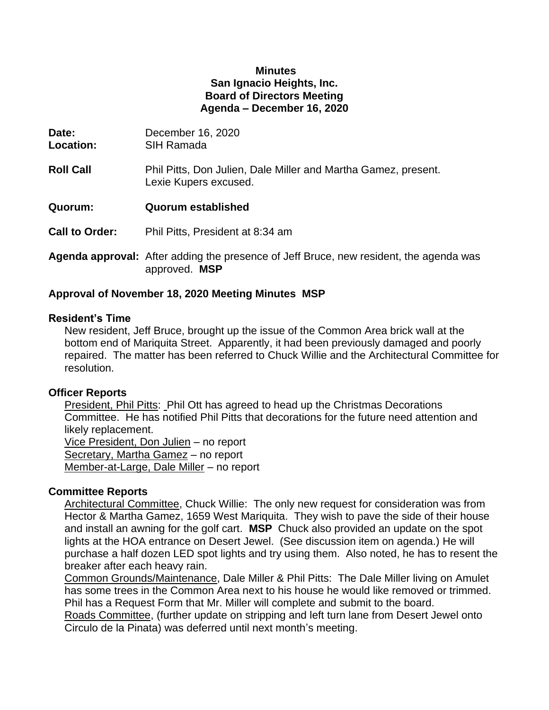#### **Minutes San Ignacio Heights, Inc. Board of Directors Meeting Agenda – December 16, 2020**

| Date:<br>Location:    | December 16, 2020<br>SIH Ramada                                                               |
|-----------------------|-----------------------------------------------------------------------------------------------|
| <b>Roll Call</b>      | Phil Pitts, Don Julien, Dale Miller and Martha Gamez, present.<br>Lexie Kupers excused.       |
| Quorum:               | <b>Quorum established</b>                                                                     |
| <b>Call to Order:</b> | Phil Pitts, President at 8:34 am                                                              |
|                       | <b>Agenda approval:</b> After adding the presence of Jeff Bruce, new resident, the agenda was |

# approved. **MSP**

## **Approval of November 18, 2020 Meeting Minutes MSP**

### **Resident's Time**

New resident, Jeff Bruce, brought up the issue of the Common Area brick wall at the bottom end of Mariquita Street. Apparently, it had been previously damaged and poorly repaired. The matter has been referred to Chuck Willie and the Architectural Committee for resolution.

### **Officer Reports**

President, Phil Pitts: Phil Ott has agreed to head up the Christmas Decorations Committee. He has notified Phil Pitts that decorations for the future need attention and likely replacement. Vice President, Don Julien – no report

Secretary, Martha Gamez – no report Member-at-Large, Dale Miller – no report

## **Committee Reports**

Architectural Committee, Chuck Willie: The only new request for consideration was from Hector & Martha Gamez, 1659 West Mariquita. They wish to pave the side of their house and install an awning for the golf cart. **MSP** Chuck also provided an update on the spot lights at the HOA entrance on Desert Jewel. (See discussion item on agenda.) He will purchase a half dozen LED spot lights and try using them. Also noted, he has to resent the breaker after each heavy rain.

Common Grounds/Maintenance, Dale Miller & Phil Pitts: The Dale Miller living on Amulet has some trees in the Common Area next to his house he would like removed or trimmed. Phil has a Request Form that Mr. Miller will complete and submit to the board.

Roads Committee, (further update on stripping and left turn lane from Desert Jewel onto Circulo de la Pinata) was deferred until next month's meeting.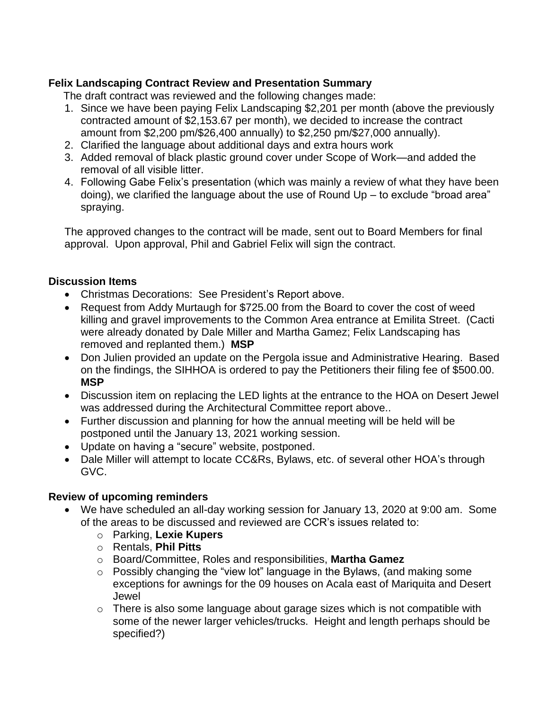# **Felix Landscaping Contract Review and Presentation Summary**

The draft contract was reviewed and the following changes made:

- 1. Since we have been paying Felix Landscaping \$2,201 per month (above the previously contracted amount of \$2,153.67 per month), we decided to increase the contract amount from \$2,200 pm/\$26,400 annually) to \$2,250 pm/\$27,000 annually).
- 2. Clarified the language about additional days and extra hours work
- 3. Added removal of black plastic ground cover under Scope of Work—and added the removal of all visible litter.
- 4. Following Gabe Felix's presentation (which was mainly a review of what they have been doing), we clarified the language about the use of Round Up – to exclude "broad area" spraying.

The approved changes to the contract will be made, sent out to Board Members for final approval. Upon approval, Phil and Gabriel Felix will sign the contract.

## **Discussion Items**

- Christmas Decorations: See President's Report above.
- Request from Addy Murtaugh for \$725.00 from the Board to cover the cost of weed killing and gravel improvements to the Common Area entrance at Emilita Street. (Cacti were already donated by Dale Miller and Martha Gamez; Felix Landscaping has removed and replanted them.) **MSP**
- Don Julien provided an update on the Pergola issue and Administrative Hearing. Based on the findings, the SIHHOA is ordered to pay the Petitioners their filing fee of \$500.00. **MSP**
- Discussion item on replacing the LED lights at the entrance to the HOA on Desert Jewel was addressed during the Architectural Committee report above..
- Further discussion and planning for how the annual meeting will be held will be postponed until the January 13, 2021 working session.
- Update on having a "secure" website, postponed.
- Dale Miller will attempt to locate CC&Rs, Bylaws, etc. of several other HOA's through GVC.

### **Review of upcoming reminders**

- We have scheduled an all-day working session for January 13, 2020 at 9:00 am. Some of the areas to be discussed and reviewed are CCR's issues related to:
	- o Parking, **Lexie Kupers**
	- o Rentals, **Phil Pitts**
	- o Board/Committee, Roles and responsibilities, **Martha Gamez**
	- o Possibly changing the "view lot" language in the Bylaws, (and making some exceptions for awnings for the 09 houses on Acala east of Mariquita and Desert Jewel
	- $\circ$  There is also some language about garage sizes which is not compatible with some of the newer larger vehicles/trucks. Height and length perhaps should be specified?)